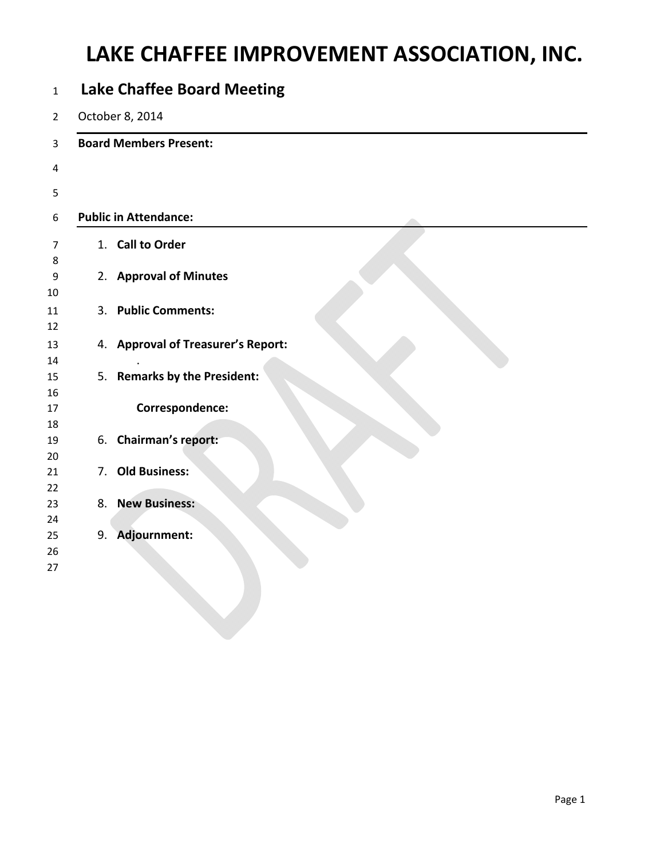| <b>Lake Chaffee Board Meeting</b> |                                    |  |  |  |  |  |
|-----------------------------------|------------------------------------|--|--|--|--|--|
|                                   | October 8, 2014                    |  |  |  |  |  |
|                                   | <b>Board Members Present:</b>      |  |  |  |  |  |
|                                   |                                    |  |  |  |  |  |
|                                   |                                    |  |  |  |  |  |
|                                   | <b>Public in Attendance:</b>       |  |  |  |  |  |
|                                   | 1. Call to Order                   |  |  |  |  |  |
|                                   | 2. Approval of Minutes             |  |  |  |  |  |
| 3.                                | <b>Public Comments:</b>            |  |  |  |  |  |
|                                   | 4. Approval of Treasurer's Report: |  |  |  |  |  |
|                                   | 5. Remarks by the President:       |  |  |  |  |  |
|                                   | Correspondence:                    |  |  |  |  |  |
|                                   | 6. Chairman's report:              |  |  |  |  |  |
| 7.                                | <b>Old Business:</b>               |  |  |  |  |  |
|                                   | 8. New Business:                   |  |  |  |  |  |
| 9.                                | Adjournment:                       |  |  |  |  |  |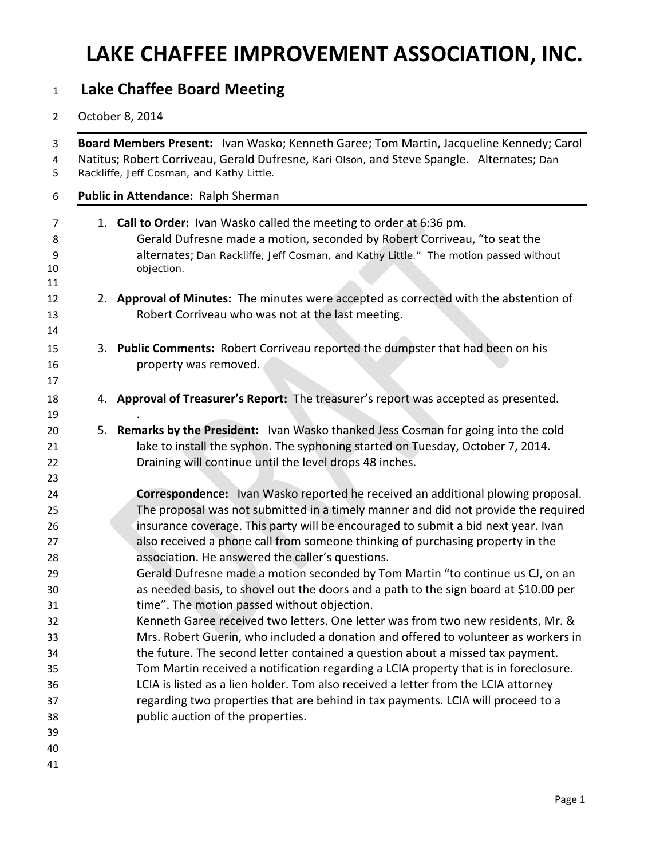### **Lake Chaffee Board Meeting**

### October 8, 2014

| Board Members Present: Ivan Wasko; Kenneth Garee; Tom Martin, Jacqueline Kennedy; Carol<br>Natitus; Robert Corriveau, Gerald Dufresne, Kari Olson, and Steve Spangle. Alternates; Dan<br>Rackliffe, Jeff Cosman, and Kathy Little.                                                                                                                                                                                                                                                        |
|-------------------------------------------------------------------------------------------------------------------------------------------------------------------------------------------------------------------------------------------------------------------------------------------------------------------------------------------------------------------------------------------------------------------------------------------------------------------------------------------|
| Public in Attendance: Ralph Sherman                                                                                                                                                                                                                                                                                                                                                                                                                                                       |
| 1. Call to Order: Ivan Wasko called the meeting to order at 6:36 pm.<br>Gerald Dufresne made a motion, seconded by Robert Corriveau, "to seat the<br>alternates; Dan Rackliffe, Jeff Cosman, and Kathy Little." The motion passed without<br>objection.                                                                                                                                                                                                                                   |
| 2. Approval of Minutes: The minutes were accepted as corrected with the abstention of<br>Robert Corriveau who was not at the last meeting.                                                                                                                                                                                                                                                                                                                                                |
| 3. Public Comments: Robert Corriveau reported the dumpster that had been on his<br>property was removed.                                                                                                                                                                                                                                                                                                                                                                                  |
| 4. Approval of Treasurer's Report: The treasurer's report was accepted as presented.                                                                                                                                                                                                                                                                                                                                                                                                      |
| 5. Remarks by the President: Ivan Wasko thanked Jess Cosman for going into the cold<br>lake to install the syphon. The syphoning started on Tuesday, October 7, 2014.<br>Draining will continue until the level drops 48 inches.                                                                                                                                                                                                                                                          |
| <b>Correspondence:</b> Ivan Wasko reported he received an additional plowing proposal.<br>The proposal was not submitted in a timely manner and did not provide the required<br>insurance coverage. This party will be encouraged to submit a bid next year. Ivan<br>also received a phone call from someone thinking of purchasing property in the<br>association. He answered the caller's questions.<br>Gerald Dufresne made a motion seconded by Tom Martin "to continue us CJ, on an |
| as needed basis, to shovel out the doors and a path to the sign board at \$10.00 per<br>time". The motion passed without objection.<br>Kenneth Garee received two letters. One letter was from two new residents, Mr. &<br>Mrs. Robert Guerin, who included a donation and offered to volunteer as workers in<br>the future. The second letter contained a question about a missed tax payment.                                                                                           |
| Tom Martin received a notification regarding a LCIA property that is in foreclosure.<br>LCIA is listed as a lien holder. Tom also received a letter from the LCIA attorney<br>regarding two properties that are behind in tax payments. LCIA will proceed to a<br>public auction of the properties.                                                                                                                                                                                       |
|                                                                                                                                                                                                                                                                                                                                                                                                                                                                                           |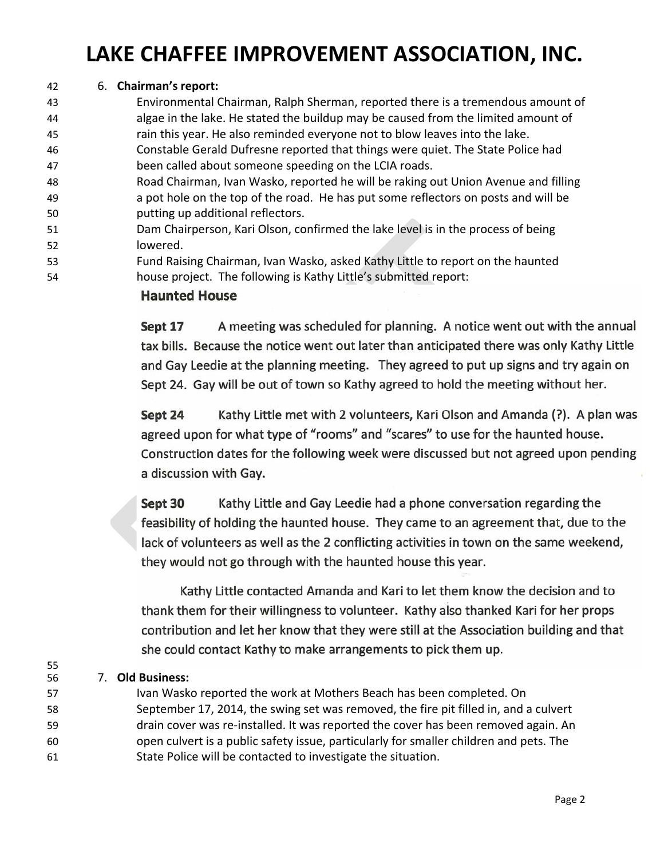### 42 6. **Chairman's report:**

 Environmental Chairman, Ralph Sherman, reported there is a tremendous amount of algae in the lake. He stated the buildup may be caused from the limited amount of rain this year. He also reminded everyone not to blow leaves into the lake. Constable Gerald Dufresne reported that things were quiet. The State Police had been called about someone speeding on the LCIA roads. Road Chairman, Ivan Wasko, reported he will be raking out Union Avenue and filling a pot hole on the top of the road. He has put some reflectors on posts and will be putting up additional reflectors. Dam Chairperson, Kari Olson, confirmed the lake level is in the process of being 52 lowered. Fund Raising Chairman, Ivan Wasko, asked Kathy Little to report on the haunted house project. The following is Kathy Little's submitted report:

#### **Haunted House**

Sept 17 A meeting was scheduled for planning. A notice went out with the annual tax bills. Because the notice went out later than anticipated there was only Kathy Little and Gay Leedie at the planning meeting. They agreed to put up signs and try again on Sept 24. Gay will be out of town so Kathy agreed to hold the meeting without her.

Kathy Little met with 2 volunteers, Kari Olson and Amanda (?). A plan was Sept 24 agreed upon for what type of "rooms" and "scares" to use for the haunted house. Construction dates for the following week were discussed but not agreed upon pending a discussion with Gay.

Kathy Little and Gay Leedie had a phone conversation regarding the Sept 30 feasibility of holding the haunted house. They came to an agreement that, due to the lack of volunteers as well as the 2 conflicting activities in town on the same weekend, they would not go through with the haunted house this year.

Kathy Little contacted Amanda and Kari to let them know the decision and to thank them for their willingness to volunteer. Kathy also thanked Kari for her props contribution and let her know that they were still at the Association building and that she could contact Kathy to make arrangements to pick them up.

#### 56 7. **Old Business:**

55

- 57 Ivan Wasko reported the work at Mothers Beach has been completed. On
- 58 September 17, 2014, the swing set was removed, the fire pit filled in, and a culvert
- 59 **hadded** drain cover was re-installed. It was reported the cover has been removed again. An
- 60 open culvert is a public safety issue, particularly for smaller children and pets. The
- 61 State Police will be contacted to investigate the situation.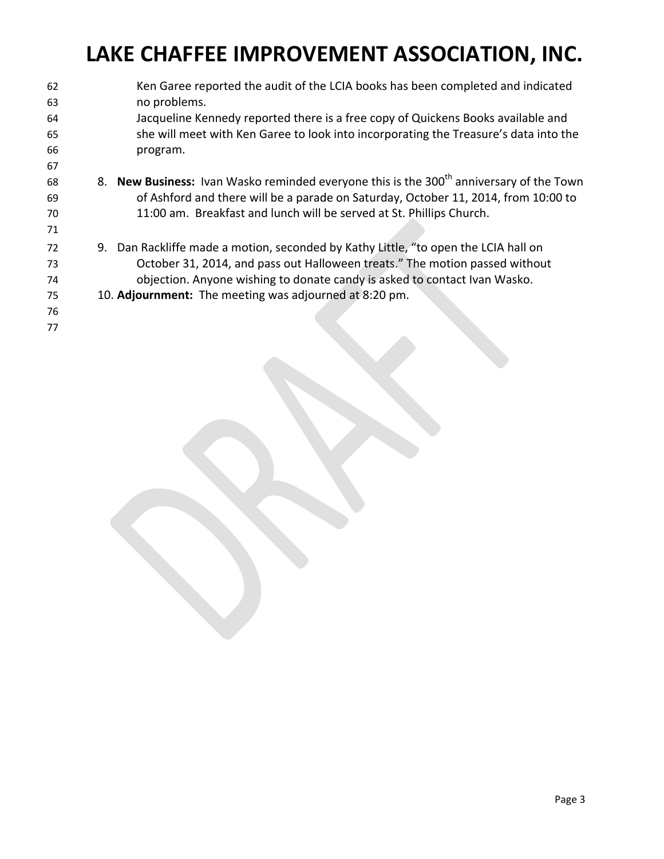Ken Garee reported the audit of the LCIA books has been completed and indicated no problems. Jacqueline Kennedy reported there is a free copy of Quickens Books available and she will meet with Ken Garee to look into incorporating the Treasure's data into the program. **8. New Business:** Ivan Wasko reminded everyone this is the 300<sup>th</sup> anniversary of the Town of Ashford and there will be a parade on Saturday, October 11, 2014, from 10:00 to 11:00 am. Breakfast and lunch will be served at St. Phillips Church. 9. Dan Rackliffe made a motion, seconded by Kathy Little, "to open the LCIA hall on October 31, 2014, and pass out Halloween treats." The motion passed without objection. Anyone wishing to donate candy is asked to contact Ivan Wasko. 10. **Adjournment:** The meeting was adjourned at 8:20 pm.